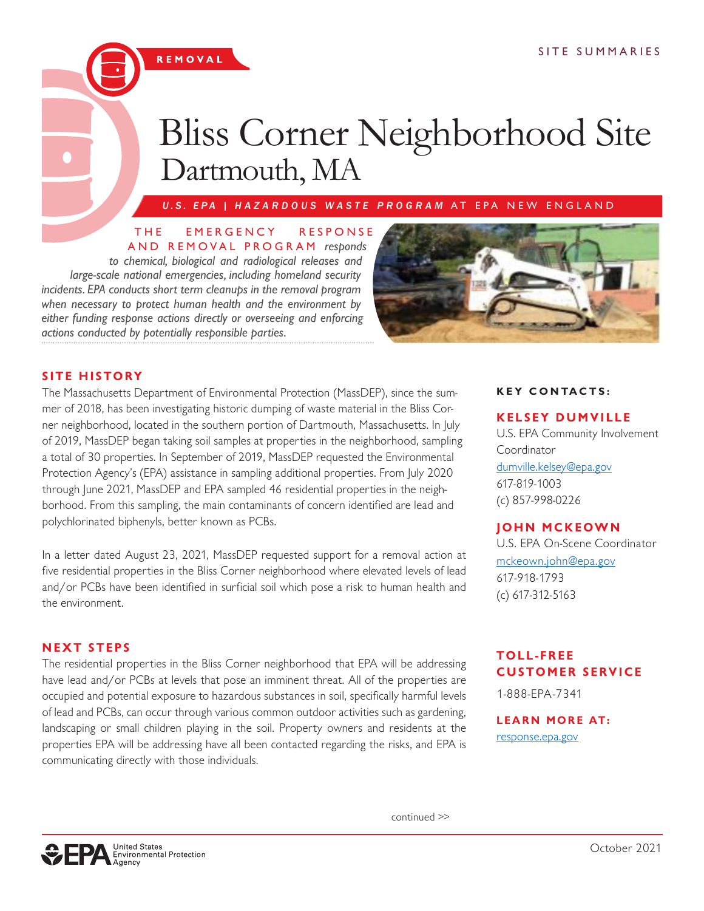# Bliss Corner Neighborhood Site Dartmouth, MA

*U.S. EPA | HAZARDOUS WASTE PROGRAM* AT EPA NEW ENGLAND

### THE EMERGENCY RESPONSE AND REMOVAL PROGRAM *responds*

*to chemical, biological and radiological releases and large-scale national emergencies, including homeland security incidents. EPA conducts short term cleanups in the removal program when necessary to protect human health and the environment by either funding response actions directly or overseeing and enforcing actions conducted by potentially responsible parties.*

REMOVAL



# **SITE HISTORY**

The Massachusetts Department of Environmental Protection (MassDEP), since the summer of 2018, has been investigating historic dumping of waste material in the Bliss Corner neighborhood, located in the southern portion of Dartmouth, Massachusetts. In July of 2019, MassDEP began taking soil samples at properties in the neighborhood, sampling a total of 30 properties. In September of 2019, MassDEP requested the Environmental Protection Agency's (EPA) assistance in sampling additional properties. From July 2020 through June 2021, MassDEP and EPA sampled 46 residential properties in the neighborhood. From this sampling, the main contaminants of concern identified are lead and polychlorinated biphenyls, better known as PCBs.

In a letter dated August 23, 2021, MassDEP requested support for a removal action at five residential properties in the Bliss Corner neighborhood where elevated levels of lead and/or PCBs have been identified in surficial soil which pose a risk to human health and the environment.

# **NEXT STEPS**

The residential properties in the Bliss Corner neighborhood that EPA will be addressing have lead and/or PCBs at levels that pose an imminent threat. All of the properties are occupied and potential exposure to hazardous substances in soil, specifically harmful levels of lead and PCBs, can occur through various common outdoor activities such as gardening, landscaping or small children playing in the soil. Property owners and residents at the properties EPA will be addressing have all been contacted regarding the risks, and EPA is communicating directly with those individuals.

## **KEY CONTACTS:**

## **KELSEY DUMVILLE**

U.S. EPA Community Involvement Coordinator [dumville.kelsey@epa.gov](mailto:dumville.kelsey%40epa.gov?subject=) 617-819-1003 (c) 857-998-0226

# **JOHN MCKEOWN**

U.S. EPA On-Scene Coordinator [mckeown.john@epa.gov](mailto:mckeown.john%40epa.gov?subject=) 617-918-1793 (c) 617-312-5163

# **T O L L - F R E E CUSTOMER SERVICE**

1-888-EPA-7341

### **LEARN MORE AT:** [response.epa.gov](http://response.epa.gov)

continued >>